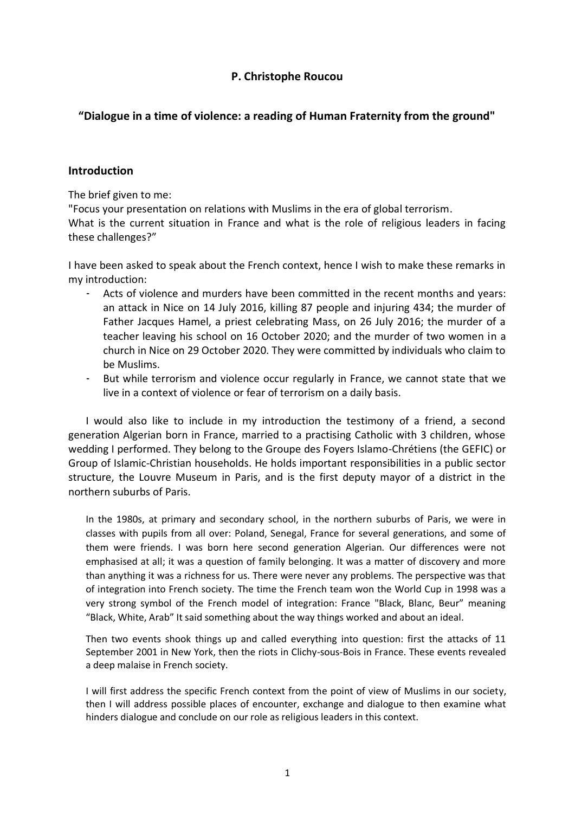# **P. Christophe Roucou**

# **"Dialogue in a time of violence: a reading of Human Fraternity from the ground"**

# **Introduction**

The brief given to me:

"Focus your presentation on relations with Muslims in the era of global terrorism. What is the current situation in France and what is the role of religious leaders in facing these challenges?"

I have been asked to speak about the French context, hence I wish to make these remarks in my introduction:

- Acts of violence and murders have been committed in the recent months and years: an attack in Nice on 14 July 2016, killing 87 people and injuring 434; the murder of Father Jacques Hamel, a priest celebrating Mass, on 26 July 2016; the murder of a teacher leaving his school on 16 October 2020; and the murder of two women in a church in Nice on 29 October 2020. They were committed by individuals who claim to be Muslims.
- But while terrorism and violence occur regularly in France, we cannot state that we live in a context of violence or fear of terrorism on a daily basis.

I would also like to include in my introduction the testimony of a friend, a second generation Algerian born in France, married to a practising Catholic with 3 children, whose wedding I performed. They belong to the Groupe des Foyers Islamo-Chrétiens (the GEFIC) or Group of Islamic-Christian households. He holds important responsibilities in a public sector structure, the Louvre Museum in Paris, and is the first deputy mayor of a district in the northern suburbs of Paris.

In the 1980s, at primary and secondary school, in the northern suburbs of Paris, we were in classes with pupils from all over: Poland, Senegal, France for several generations, and some of them were friends. I was born here second generation Algerian. Our differences were not emphasised at all; it was a question of family belonging. It was a matter of discovery and more than anything it was a richness for us. There were never any problems. The perspective was that of integration into French society. The time the French team won the World Cup in 1998 was a very strong symbol of the French model of integration: France "Black, Blanc, Beur" meaning "Black, White, Arab" It said something about the way things worked and about an ideal.

Then two events shook things up and called everything into question: first the attacks of 11 September 2001 in New York, then the riots in Clichy-sous-Bois in France. These events revealed a deep malaise in French society.

I will first address the specific French context from the point of view of Muslims in our society, then I will address possible places of encounter, exchange and dialogue to then examine what hinders dialogue and conclude on our role as religious leaders in this context.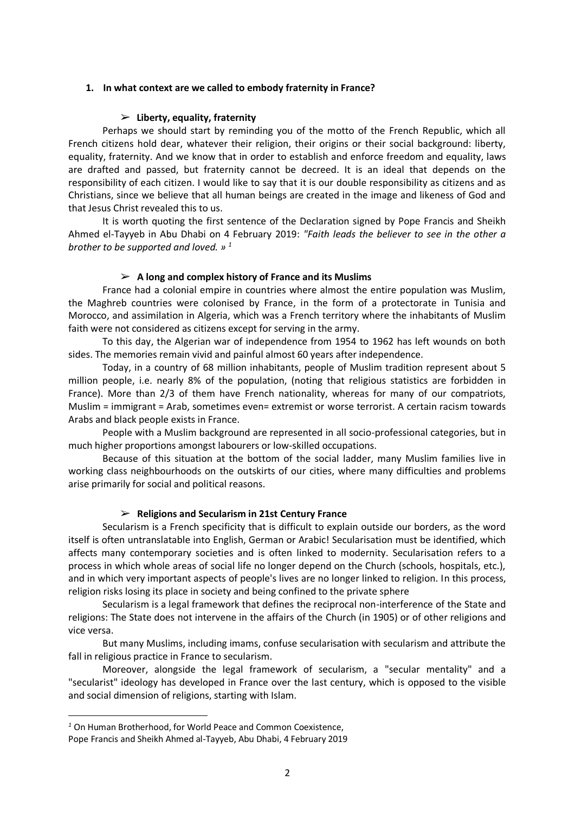### **1. In what context are we called to embody fraternity in France?**

### ➢ **Liberty, equality, fraternity**

Perhaps we should start by reminding you of the motto of the French Republic, which all French citizens hold dear, whatever their religion, their origins or their social background: liberty, equality, fraternity. And we know that in order to establish and enforce freedom and equality, laws are drafted and passed, but fraternity cannot be decreed. It is an ideal that depends on the responsibility of each citizen. I would like to say that it is our double responsibility as citizens and as Christians, since we believe that all human beings are created in the image and likeness of God and that Jesus Christ revealed this to us.

It is worth quoting the first sentence of the Declaration signed by Pope Francis and Sheikh Ahmed el-Tayyeb in Abu Dhabi on 4 February 2019: *"Faith leads the believer to see in the other a brother to be supported and loved. » <sup>1</sup>*

### ➢ **A long and complex history of France and its Muslims**

France had a colonial empire in countries where almost the entire population was Muslim, the Maghreb countries were colonised by France, in the form of a protectorate in Tunisia and Morocco, and assimilation in Algeria, which was a French territory where the inhabitants of Muslim faith were not considered as citizens except for serving in the army.

To this day, the Algerian war of independence from 1954 to 1962 has left wounds on both sides. The memories remain vivid and painful almost 60 years after independence.

Today, in a country of 68 million inhabitants, people of Muslim tradition represent about 5 million people, i.e. nearly 8% of the population, (noting that religious statistics are forbidden in France). More than 2/3 of them have French nationality, whereas for many of our compatriots, Muslim = immigrant = Arab, sometimes even= extremist or worse terrorist. A certain racism towards Arabs and black people exists in France.

People with a Muslim background are represented in all socio-professional categories, but in much higher proportions amongst labourers or low-skilled occupations.

Because of this situation at the bottom of the social ladder, many Muslim families live in working class neighbourhoods on the outskirts of our cities, where many difficulties and problems arise primarily for social and political reasons.

## ➢ **Religions and Secularism in 21st Century France**

Secularism is a French specificity that is difficult to explain outside our borders, as the word itself is often untranslatable into English, German or Arabic! Secularisation must be identified, which affects many contemporary societies and is often linked to modernity. Secularisation refers to a process in which whole areas of social life no longer depend on the Church (schools, hospitals, etc.), and in which very important aspects of people's lives are no longer linked to religion. In this process, religion risks losing its place in society and being confined to the private sphere

Secularism is a legal framework that defines the reciprocal non-interference of the State and religions: The State does not intervene in the affairs of the Church (in 1905) or of other religions and vice versa.

But many Muslims, including imams, confuse secularisation with secularism and attribute the fall in religious practice in France to secularism.

Moreover, alongside the legal framework of secularism, a "secular mentality" and a "secularist" ideology has developed in France over the last century, which is opposed to the visible and social dimension of religions, starting with Islam.

1

*<sup>1</sup>* On Human Brotherhood, for World Peace and Common Coexistence,

Pope Francis and Sheikh Ahmed al-Tayyeb, Abu Dhabi, 4 February 2019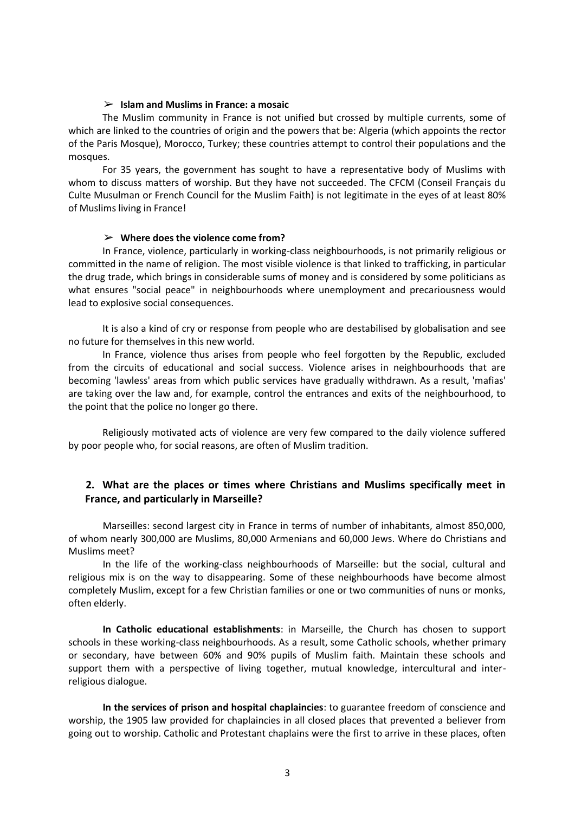### ➢ **Islam and Muslims in France: a mosaic**

The Muslim community in France is not unified but crossed by multiple currents, some of which are linked to the countries of origin and the powers that be: Algeria (which appoints the rector of the Paris Mosque), Morocco, Turkey; these countries attempt to control their populations and the mosques.

For 35 years, the government has sought to have a representative body of Muslims with whom to discuss matters of worship. But they have not succeeded. The CFCM (Conseil Français du Culte Musulman or French Council for the Muslim Faith) is not legitimate in the eyes of at least 80% of Muslims living in France!

### ➢ **Where does the violence come from?**

In France, violence, particularly in working-class neighbourhoods, is not primarily religious or committed in the name of religion. The most visible violence is that linked to trafficking, in particular the drug trade, which brings in considerable sums of money and is considered by some politicians as what ensures "social peace" in neighbourhoods where unemployment and precariousness would lead to explosive social consequences.

It is also a kind of cry or response from people who are destabilised by globalisation and see no future for themselves in this new world.

In France, violence thus arises from people who feel forgotten by the Republic, excluded from the circuits of educational and social success. Violence arises in neighbourhoods that are becoming 'lawless' areas from which public services have gradually withdrawn. As a result, 'mafias' are taking over the law and, for example, control the entrances and exits of the neighbourhood, to the point that the police no longer go there.

Religiously motivated acts of violence are very few compared to the daily violence suffered by poor people who, for social reasons, are often of Muslim tradition.

# **2. What are the places or times where Christians and Muslims specifically meet in France, and particularly in Marseille?**

Marseilles: second largest city in France in terms of number of inhabitants, almost 850,000, of whom nearly 300,000 are Muslims, 80,000 Armenians and 60,000 Jews. Where do Christians and Muslims meet?

In the life of the working-class neighbourhoods of Marseille: but the social, cultural and religious mix is on the way to disappearing. Some of these neighbourhoods have become almost completely Muslim, except for a few Christian families or one or two communities of nuns or monks, often elderly.

**In Catholic educational establishments**: in Marseille, the Church has chosen to support schools in these working-class neighbourhoods. As a result, some Catholic schools, whether primary or secondary, have between 60% and 90% pupils of Muslim faith. Maintain these schools and support them with a perspective of living together, mutual knowledge, intercultural and interreligious dialogue.

**In the services of prison and hospital chaplaincies**: to guarantee freedom of conscience and worship, the 1905 law provided for chaplaincies in all closed places that prevented a believer from going out to worship. Catholic and Protestant chaplains were the first to arrive in these places, often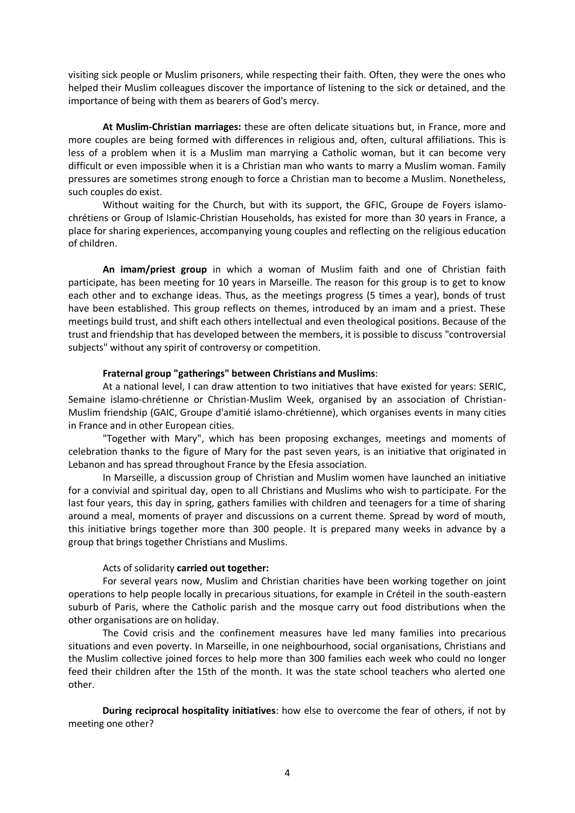visiting sick people or Muslim prisoners, while respecting their faith. Often, they were the ones who helped their Muslim colleagues discover the importance of listening to the sick or detained, and the importance of being with them as bearers of God's mercy.

**At Muslim-Christian marriages:** these are often delicate situations but, in France, more and more couples are being formed with differences in religious and, often, cultural affiliations. This is less of a problem when it is a Muslim man marrying a Catholic woman, but it can become very difficult or even impossible when it is a Christian man who wants to marry a Muslim woman. Family pressures are sometimes strong enough to force a Christian man to become a Muslim. Nonetheless, such couples do exist.

Without waiting for the Church, but with its support, the GFIC, Groupe de Foyers islamochrétiens or Group of Islamic-Christian Households, has existed for more than 30 years in France, a place for sharing experiences, accompanying young couples and reflecting on the religious education of children.

**An imam/priest group** in which a woman of Muslim faith and one of Christian faith participate, has been meeting for 10 years in Marseille. The reason for this group is to get to know each other and to exchange ideas. Thus, as the meetings progress (5 times a year), bonds of trust have been established. This group reflects on themes, introduced by an imam and a priest. These meetings build trust, and shift each others intellectual and even theological positions. Because of the trust and friendship that has developed between the members, it is possible to discuss "controversial subjects" without any spirit of controversy or competition.

#### **Fraternal group "gatherings" between Christians and Muslims**:

At a national level, I can draw attention to two initiatives that have existed for years: SERIC, Semaine islamo-chrétienne or Christian-Muslim Week, organised by an association of Christian-Muslim friendship (GAIC, Groupe d'amitié islamo-chrétienne), which organises events in many cities in France and in other European cities.

"Together with Mary", which has been proposing exchanges, meetings and moments of celebration thanks to the figure of Mary for the past seven years, is an initiative that originated in Lebanon and has spread throughout France by the Efesia association.

In Marseille, a discussion group of Christian and Muslim women have launched an initiative for a convivial and spiritual day, open to all Christians and Muslims who wish to participate. For the last four years, this day in spring, gathers families with children and teenagers for a time of sharing around a meal, moments of prayer and discussions on a current theme. Spread by word of mouth, this initiative brings together more than 300 people. It is prepared many weeks in advance by a group that brings together Christians and Muslims.

## Acts of solidarity **carried out together:**

For several years now, Muslim and Christian charities have been working together on joint operations to help people locally in precarious situations, for example in Créteil in the south-eastern suburb of Paris, where the Catholic parish and the mosque carry out food distributions when the other organisations are on holiday.

The Covid crisis and the confinement measures have led many families into precarious situations and even poverty. In Marseille, in one neighbourhood, social organisations, Christians and the Muslim collective joined forces to help more than 300 families each week who could no longer feed their children after the 15th of the month. It was the state school teachers who alerted one other.

**During reciprocal hospitality initiatives**: how else to overcome the fear of others, if not by meeting one other?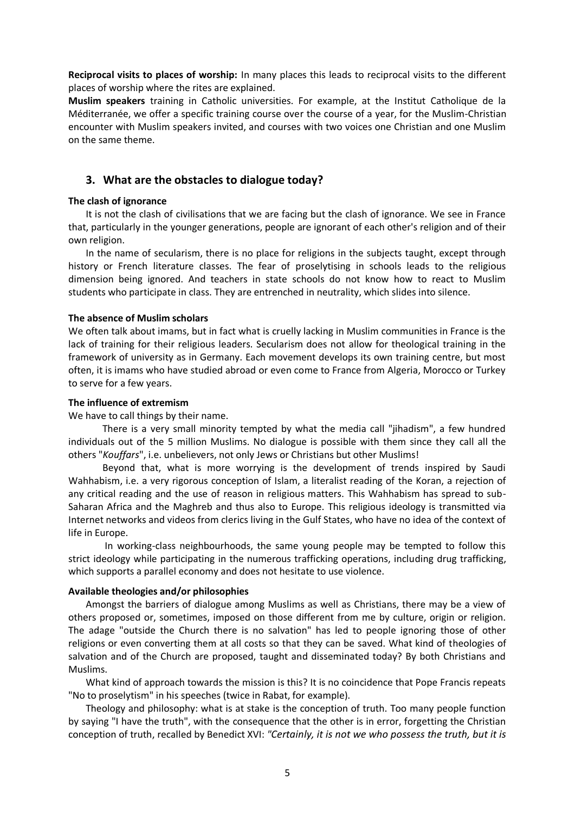**Reciprocal visits to places of worship:** In many places this leads to reciprocal visits to the different places of worship where the rites are explained.

**Muslim speakers** training in Catholic universities. For example, at the Institut Catholique de la Méditerranée, we offer a specific training course over the course of a year, for the Muslim-Christian encounter with Muslim speakers invited, and courses with two voices one Christian and one Muslim on the same theme.

# **3. What are the obstacles to dialogue today?**

#### **The clash of ignorance**

It is not the clash of civilisations that we are facing but the clash of ignorance. We see in France that, particularly in the younger generations, people are ignorant of each other's religion and of their own religion.

In the name of secularism, there is no place for religions in the subjects taught, except through history or French literature classes. The fear of proselytising in schools leads to the religious dimension being ignored. And teachers in state schools do not know how to react to Muslim students who participate in class. They are entrenched in neutrality, which slides into silence.

### **The absence of Muslim scholars**

We often talk about imams, but in fact what is cruelly lacking in Muslim communities in France is the lack of training for their religious leaders. Secularism does not allow for theological training in the framework of university as in Germany. Each movement develops its own training centre, but most often, it is imams who have studied abroad or even come to France from Algeria, Morocco or Turkey to serve for a few years.

#### **The influence of extremism**

We have to call things by their name.

There is a very small minority tempted by what the media call "jihadism", a few hundred individuals out of the 5 million Muslims. No dialogue is possible with them since they call all the others "*Kouffars*", i.e. unbelievers, not only Jews or Christians but other Muslims!

Beyond that, what is more worrying is the development of trends inspired by Saudi Wahhabism, i.e. a very rigorous conception of Islam, a literalist reading of the Koran, a rejection of any critical reading and the use of reason in religious matters. This Wahhabism has spread to sub-Saharan Africa and the Maghreb and thus also to Europe. This religious ideology is transmitted via Internet networks and videos from clerics living in the Gulf States, who have no idea of the context of life in Europe.

In working-class neighbourhoods, the same young people may be tempted to follow this strict ideology while participating in the numerous trafficking operations, including drug trafficking, which supports a parallel economy and does not hesitate to use violence.

#### **Available theologies and/or philosophies**

Amongst the barriers of dialogue among Muslims as well as Christians, there may be a view of others proposed or, sometimes, imposed on those different from me by culture, origin or religion. The adage "outside the Church there is no salvation" has led to people ignoring those of other religions or even converting them at all costs so that they can be saved. What kind of theologies of salvation and of the Church are proposed, taught and disseminated today? By both Christians and Muslims.

What kind of approach towards the mission is this? It is no coincidence that Pope Francis repeats "No to proselytism" in his speeches (twice in Rabat, for example).

Theology and philosophy: what is at stake is the conception of truth. Too many people function by saying "I have the truth", with the consequence that the other is in error, forgetting the Christian conception of truth, recalled by Benedict XVI: *"Certainly, it is not we who possess the truth, but it is*